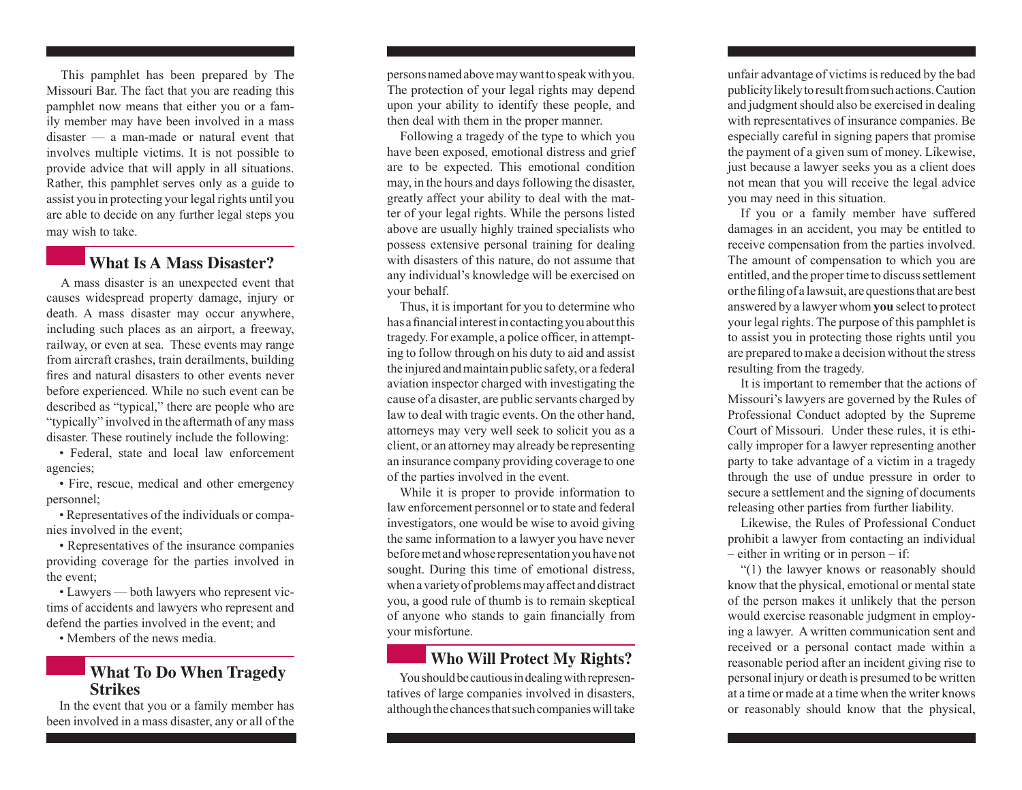This pamphlet has been prepared by The Missouri Bar. The fact that you are reading this pamphlet now means that either you or a family member may have been involved in a mass disaster — a man-made or natural event that involves multiple victims. It is not possible to provide advice that will apply in all situations. Rather, this pamphlet serves only as a guide to assist you in protecting your legal rights until you are able to decide on any further legal steps you may wish to take.

#### **What Is A Mass Disaster?**

A mass disaster is an unexpected event that causes widespread property damage, injury or death. A mass disaster may occur anywhere, including such places as an airport, a freeway, railway, or even at sea. These events may range from aircraft crashes, train derailments, building fires and natural disasters to other events never before experienced. While no such event can be described as "typical," there are people who are "typically" involved in the aftermath of any mass disaster. These routinely include the following:

• Federal, state and local law enforcement agencies;

• Fire, rescue, medical and other emergency personnel;

• Representatives of the individuals or companies involved in the event;

• Representatives of the insurance companies providing coverage for the parties involved in the event;

• Lawyers — both lawyers who represent victims of accidents and lawyers who represent and defend the parties involved in the event; and

• Members of the news media.

### **What To Do When Tragedy Strikes**

In the event that you or a family member has been involved in a mass disaster, any or all of the

persons named above may want to speak with you. The protection of your legal rights may depend upon your ability to identify these people, and then deal with them in the proper manner.

Following a tragedy of the type to which you have been exposed, emotional distress and grief are to be expected. This emotional condition may, in the hours and days following the disaster, greatly affect your ability to deal with the matter of your legal rights. While the persons listed above are usually highly trained specialists who possess extensive personal training for dealing with disasters of this nature, do not assume that any individual's knowledge will be exercised on your behalf.

Thus, it is important for you to determine who has a financial interest in contacting you about this tragedy. For example, a police officer, in attempting to follow through on his duty to aid and assist the injured and maintain public safety, or a federal aviation inspector charged with investigating the cause of a disaster, are public servants charged by law to deal with tragic events. On the other hand, attorneys may very well seek to solicit you as a client, or an attorney may already be representing an insurance company providing coverage to one of the parties involved in the event.

While it is proper to provide information to law enforcement personnel or to state and federal investigators, one would be wise to avoid giving the same information to a lawyer you have never before met and whose representation you have not sought. During this time of emotional distress, when a variety of problems may affect and distract you, a good rule of thumb is to remain skeptical of anyone who stands to gain financially from your misfortune.

# **Who Will Protect My Rights?**

You should be cautious in dealing with representatives of large companies involved in disasters, although the chances that such companies will take

unfair advantage of victims is reduced by the bad publicity likely to result from such actions. Caution and judgment should also be exercised in dealing with representatives of insurance companies. Be especially careful in signing papers that promise the payment of a given sum of money. Likewise, just because a lawyer seeks you as a client does not mean that you will receive the legal advice you may need in this situation.

If you or a family member have suffered damages in an accident, you may be entitled to receive compensation from the parties involved. The amount of compensation to which you are entitled, and the proper time to discuss settlement or the filing of a lawsuit, are questions that are best answered by a lawyer whom **you** select to protect your legal rights. The purpose of this pamphlet is to assist you in protecting those rights until you are prepared to make a decision without the stress resulting from the tragedy.

It is important to remember that the actions of Missouri's lawyers are governed by the Rules of Professional Conduct adopted by the Supreme Court of Missouri. Under these rules, it is ethically improper for a lawyer representing another party to take advantage of a victim in a tragedy through the use of undue pressure in order to secure a settlement and the signing of documents releasing other parties from further liability.

Likewise, the Rules of Professional Conduct prohibit a lawyer from contacting an individual – either in writing or in person – if:

"(1) the lawyer knows or reasonably should know that the physical, emotional or mental state of the person makes it unlikely that the person would exercise reasonable judgment in employing a lawyer. A written communication sent and received or a personal contact made within a reasonable period after an incident giving rise to personal injury or death is presumed to be written at a time or made at a time when the writer knows or reasonably should know that the physical,